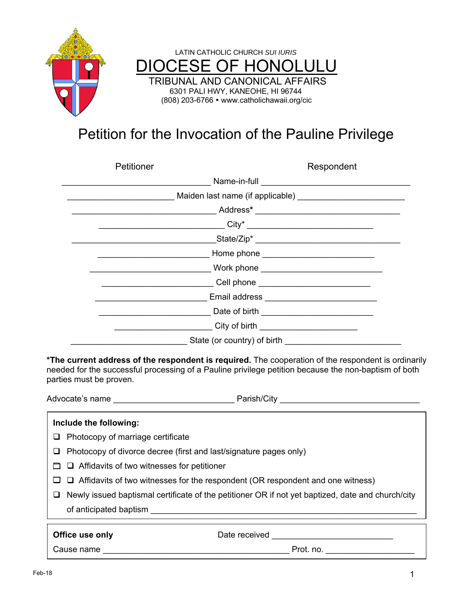



# Petition for the Invocation of the Pauline Privilege

| Petitioner                                    | Respondent                                                     |  |
|-----------------------------------------------|----------------------------------------------------------------|--|
|                                               |                                                                |  |
|                                               | Maiden last name (if applicable) _____________________________ |  |
|                                               |                                                                |  |
|                                               |                                                                |  |
|                                               |                                                                |  |
|                                               |                                                                |  |
| Work phone __________________________________ |                                                                |  |
| Cell phone ___________________________        |                                                                |  |
|                                               |                                                                |  |
|                                               | Date of birth _______________________________                  |  |
|                                               | City of birth _______________________                          |  |
|                                               |                                                                |  |

**\*The current address of the respondent is required.** The cooperation of the respondent is ordinarily needed for the successful processing of a Pauline privilege petition because the non-baptism of both parties must be proven.

Advocate's name example and the parish example of Parish/City and the parish of the set of the set of the set o

| Include the following:                                                                            |               |  |
|---------------------------------------------------------------------------------------------------|---------------|--|
| Photocopy of marriage certificate<br>⊔                                                            |               |  |
| Photocopy of divorce decree (first and last/signature pages only)                                 |               |  |
| $\Box$ $\Box$ Affidavits of two witnesses for petitioner                                          |               |  |
| $\Box$ $\Box$ Affidavits of two witnesses for the respondent (OR respondent and one witness)      |               |  |
| Newly issued baptismal certificate of the petitioner OR if not yet baptized, date and church/city |               |  |
| of anticipated baptism                                                                            |               |  |
| Office use only                                                                                   | Date received |  |
| Cause name                                                                                        | Prot. no.     |  |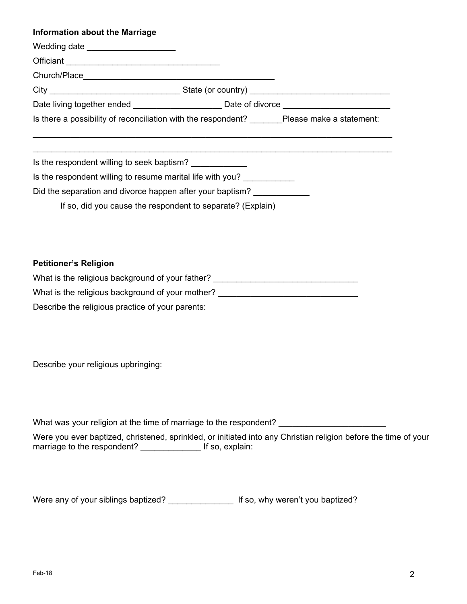| <b>Information about the Marriage</b>                                                                |  |  |  |
|------------------------------------------------------------------------------------------------------|--|--|--|
| Wedding date _____________________                                                                   |  |  |  |
|                                                                                                      |  |  |  |
|                                                                                                      |  |  |  |
|                                                                                                      |  |  |  |
| Date living together ended ____________________________Date of divorce _____________________________ |  |  |  |
| Is there a possibility of reconciliation with the respondent? Please make a statement:               |  |  |  |
| Is the respondent willing to seek baptism?                                                           |  |  |  |
| Is the respondent willing to resume marital life with you?                                           |  |  |  |
| Did the separation and divorce happen after your baptism?                                            |  |  |  |
| If so, did you cause the respondent to separate? (Explain)                                           |  |  |  |

### **Petitioner's Religion**

| What is the religious background of your father? |  |
|--------------------------------------------------|--|
| What is the religious background of your mother? |  |
| Describe the religious practice of your parents: |  |

Describe your religious upbringing:

What was your religion at the time of marriage to the respondent? \_\_\_\_\_\_\_\_\_\_\_\_\_\_\_

Were you ever baptized, christened, sprinkled, or initiated into any Christian religion before the time of your marriage to the respondent? \_\_\_\_\_\_\_\_\_\_\_\_\_\_\_ If so, explain:

Were any of your siblings baptized? \_\_\_\_\_\_\_\_\_\_\_\_\_\_ If so, why weren't you baptized?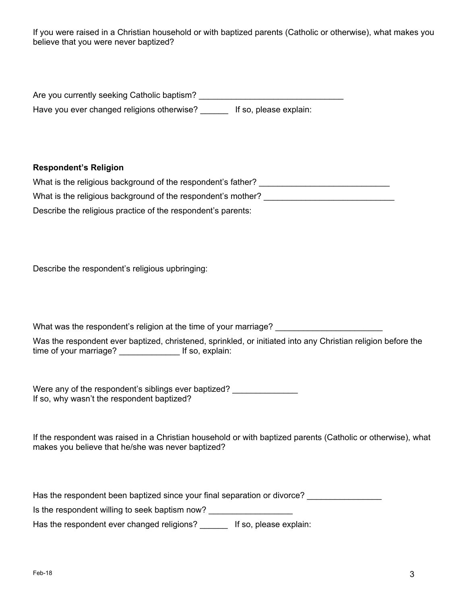If you were raised in a Christian household or with baptized parents (Catholic or otherwise), what makes you believe that you were never baptized?

| Are you currently seeking Catholic baptism? |                        |
|---------------------------------------------|------------------------|
| Have you ever changed religions otherwise?  | If so, please explain: |

#### **Respondent's Religion**

| What is the religious background of the respondent's father? |
|--------------------------------------------------------------|
| What is the religious background of the respondent's mother? |
| Describe the religious practice of the respondent's parents: |

Describe the respondent's religious upbringing:

What was the respondent's religion at the time of your marriage?

Was the respondent ever baptized, christened, sprinkled, or initiated into any Christian religion before the time of your marriage? \_\_\_\_\_\_\_\_\_\_\_\_\_ If so, explain:

Were any of the respondent's siblings ever baptized? \_\_\_\_\_\_\_\_\_\_\_\_\_\_\_\_\_\_\_\_\_\_\_\_\_\_\_ If so, why wasn't the respondent baptized?

If the respondent was raised in a Christian household or with baptized parents (Catholic or otherwise), what makes you believe that he/she was never baptized?

Has the respondent been baptized since your final separation or divorce?

Is the respondent willing to seek baptism now? \_\_\_\_\_\_\_\_\_\_\_\_\_\_\_\_\_\_\_\_\_\_\_\_\_\_\_\_\_\_\_\_\_

Has the respondent ever changed religions? If so, please explain: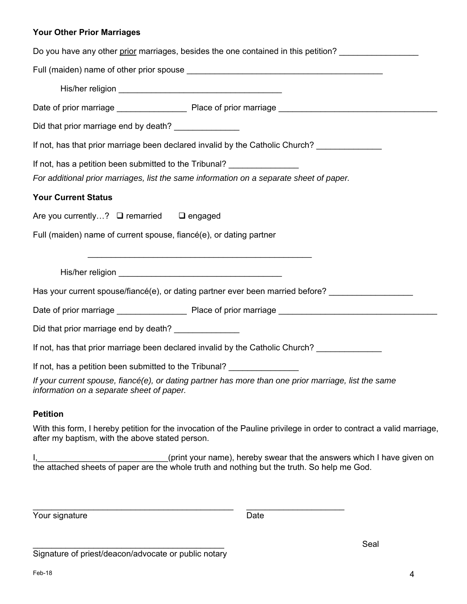#### **Your Other Prior Marriages**

| Do you have any other prior marriages, besides the one contained in this petition?                                                                |  |  |
|---------------------------------------------------------------------------------------------------------------------------------------------------|--|--|
|                                                                                                                                                   |  |  |
|                                                                                                                                                   |  |  |
|                                                                                                                                                   |  |  |
| Did that prior marriage end by death? ________________                                                                                            |  |  |
| If not, has that prior marriage been declared invalid by the Catholic Church?                                                                     |  |  |
| If not, has a petition been submitted to the Tribunal?                                                                                            |  |  |
| For additional prior marriages, list the same information on a separate sheet of paper.                                                           |  |  |
| <b>Your Current Status</b>                                                                                                                        |  |  |
| Are you currently? □ remarried □ engaged                                                                                                          |  |  |
| Full (maiden) name of current spouse, fiancé(e), or dating partner                                                                                |  |  |
|                                                                                                                                                   |  |  |
|                                                                                                                                                   |  |  |
| Has your current spouse/fiancé(e), or dating partner ever been married before?                                                                    |  |  |
|                                                                                                                                                   |  |  |
| Did that prior marriage end by death? _______________                                                                                             |  |  |
| If not, has that prior marriage been declared invalid by the Catholic Church?                                                                     |  |  |
| If not, has a petition been submitted to the Tribunal?                                                                                            |  |  |
| If your current spouse, fiancé(e), or dating partner has more than one prior marriage, list the same<br>information on a separate sheet of paper. |  |  |
| <b>Petition</b>                                                                                                                                   |  |  |

With this form, I hereby petition for the invocation of the Pauline privilege in order to contract a valid marriage, after my baptism, with the above stated person.

I, the same of the correct operators (print your name), hereby swear that the answers which I have given on the attached sheets of paper are the whole truth and nothing but the truth. So help me God.

 $\mathcal{L}_\text{max} = \mathcal{L}_\text{max} = \mathcal{L}_\text{max} = \mathcal{L}_\text{max} = \mathcal{L}_\text{max} = \mathcal{L}_\text{max} = \mathcal{L}_\text{max} = \mathcal{L}_\text{max} = \mathcal{L}_\text{max} = \mathcal{L}_\text{max} = \mathcal{L}_\text{max} = \mathcal{L}_\text{max} = \mathcal{L}_\text{max} = \mathcal{L}_\text{max} = \mathcal{L}_\text{max} = \mathcal{L}_\text{max} = \mathcal{L}_\text{max} = \mathcal{L}_\text{max} = \mathcal{$ 

Your signature Date

 $\bf S$ eal  $\bf S$ Signature of priest/deacon/advocate or public notary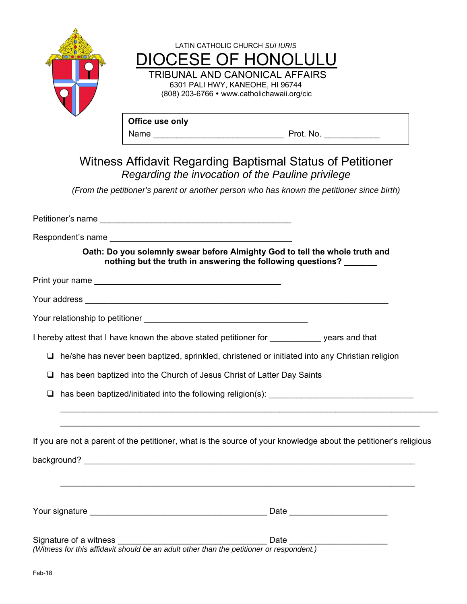|   | 8O(4) |                                                                                                                                                                                                                                     | LATIN CATHOLIC CHURCH SUI IURIS                                    |                                |  |
|---|-------|-------------------------------------------------------------------------------------------------------------------------------------------------------------------------------------------------------------------------------------|--------------------------------------------------------------------|--------------------------------|--|
|   |       | <b>DIOCESE OF HONOLULU</b>                                                                                                                                                                                                          |                                                                    |                                |  |
|   |       |                                                                                                                                                                                                                                     | TRIBUNAL AND CANONICAL AFFAIRS<br>6301 PALI HWY, KANEOHE, HI 96744 |                                |  |
|   |       |                                                                                                                                                                                                                                     | (808) 203-6766 • www.catholichawaii.org/cic                        |                                |  |
|   |       | Office use only                                                                                                                                                                                                                     |                                                                    |                                |  |
|   |       |                                                                                                                                                                                                                                     |                                                                    |                                |  |
|   |       | Witness Affidavit Regarding Baptismal Status of Petitioner<br>Regarding the invocation of the Pauline privilege                                                                                                                     |                                                                    |                                |  |
|   |       | (From the petitioner's parent or another person who has known the petitioner since birth)                                                                                                                                           |                                                                    |                                |  |
|   |       |                                                                                                                                                                                                                                     |                                                                    |                                |  |
|   |       |                                                                                                                                                                                                                                     |                                                                    |                                |  |
|   |       | Oath: Do you solemnly swear before Almighty God to tell the whole truth and<br>nothing but the truth in answering the following questions?                                                                                          |                                                                    |                                |  |
|   |       | Print your name <b>contained</b> and the contact of the contact of the contact of the contact of the contact of the contact of the contact of the contact of the contact of the contact of the contact of the contact of the contac |                                                                    |                                |  |
|   |       |                                                                                                                                                                                                                                     |                                                                    |                                |  |
|   |       |                                                                                                                                                                                                                                     |                                                                    |                                |  |
|   |       | I hereby attest that I have known the above stated petitioner for ____________ years and that                                                                                                                                       |                                                                    |                                |  |
|   |       | $\Box$ he/she has never been baptized, sprinkled, christened or initiated into any Christian religion                                                                                                                               |                                                                    |                                |  |
| □ |       | has been baptized into the Church of Jesus Christ of Latter Day Saints                                                                                                                                                              |                                                                    |                                |  |
|   |       |                                                                                                                                                                                                                                     |                                                                    |                                |  |
|   |       |                                                                                                                                                                                                                                     |                                                                    |                                |  |
|   |       | If you are not a parent of the petitioner, what is the source of your knowledge about the petitioner's religious                                                                                                                    |                                                                    |                                |  |
|   |       |                                                                                                                                                                                                                                     |                                                                    |                                |  |
|   |       | ,我们也不会有什么。""我们的人,我们也不会有什么?""我们的人,我们也不会有什么?""我们的人,我们也不会有什么?""我们的人,我们也不会有什么?""我们的人                                                                                                                                                    |                                                                    |                                |  |
|   |       |                                                                                                                                                                                                                                     |                                                                    |                                |  |
|   |       |                                                                                                                                                                                                                                     |                                                                    |                                |  |
|   |       |                                                                                                                                                                                                                                     |                                                                    | Date _________________________ |  |
|   |       |                                                                                                                                                                                                                                     |                                                                    |                                |  |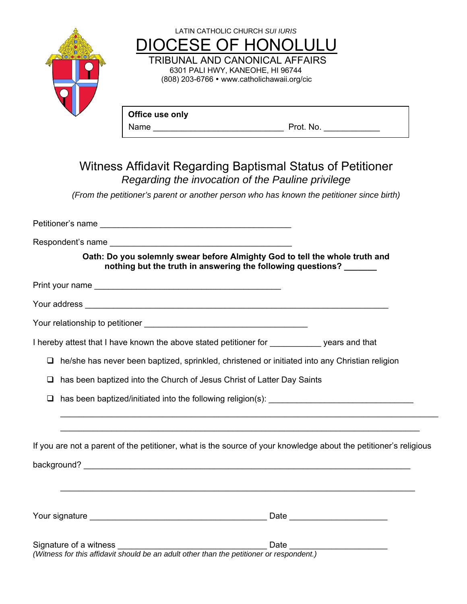

### Witness Affidavit Regarding Baptismal Status of Petitioner *Regarding the invocation of the Pauline privilege*

*(From the petitioner's parent or another person who has known the petitioner since birth)* 

| Oath: Do you solemnly swear before Almighty God to tell the whole truth and<br>nothing but the truth in answering the following questions? |                                                                                  |
|--------------------------------------------------------------------------------------------------------------------------------------------|----------------------------------------------------------------------------------|
|                                                                                                                                            |                                                                                  |
|                                                                                                                                            |                                                                                  |
|                                                                                                                                            |                                                                                  |
| I hereby attest that I have known the above stated petitioner for years and that                                                           |                                                                                  |
| $\Box$ he/she has never been baptized, sprinkled, christened or initiated into any Christian religion                                      |                                                                                  |
| has been baptized into the Church of Jesus Christ of Latter Day Saints<br>❏                                                                |                                                                                  |
| has been baptized/initiated into the following religion(s): ____________________<br>□                                                      |                                                                                  |
| If you are not a parent of the petitioner, what is the source of your knowledge about the petitioner's religious                           | ,我们也不会有什么。""我们的人,我们也不会有什么?""我们的人,我们也不会有什么?""我们的人,我们也不会有什么?""我们的人,我们也不会有什么?""我们的人 |
|                                                                                                                                            |                                                                                  |
|                                                                                                                                            |                                                                                  |
| Signature of a witness                                                                                                                     | Date                                                                             |

*(Witness for this affidavit should be an adult other than the petitioner or respondent.)*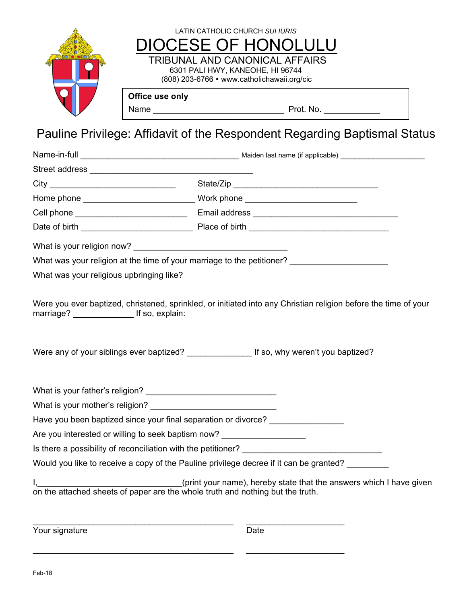

## Pauline Privilege: Affidavit of the Respondent Regarding Baptismal Status

|                                                                                | What was your religion at the time of your marriage to the petitioner? ____________________________             |
|--------------------------------------------------------------------------------|-----------------------------------------------------------------------------------------------------------------|
| What was your religious upbringing like?                                       |                                                                                                                 |
|                                                                                | Were you ever baptized, christened, sprinkled, or initiated into any Christian religion before the time of your |
|                                                                                | Were any of your siblings ever baptized? ______________________ If so, why weren't you baptized?                |
|                                                                                |                                                                                                                 |
|                                                                                |                                                                                                                 |
| Have you been baptized since your final separation or divorce?                 |                                                                                                                 |
| Are you interested or willing to seek baptism now?                             |                                                                                                                 |
|                                                                                |                                                                                                                 |
|                                                                                | Would you like to receive a copy of the Pauline privilege decree if it can be granted?                          |
| on the attached sheets of paper are the whole truth and nothing but the truth. | (print your name), hereby state that the answers which I have given                                             |

Your signature Date

\_\_\_\_\_\_\_\_\_\_\_\_\_\_\_\_\_\_\_\_\_\_\_\_\_\_\_\_\_\_\_\_\_\_\_\_\_\_\_\_\_\_\_ \_\_\_\_\_\_\_\_\_\_\_\_\_\_\_\_\_\_\_\_\_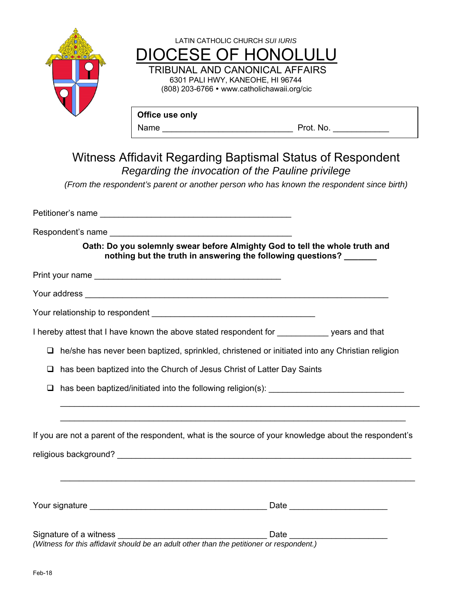

 $\Box$  he/she has never been baptized, sprinkled, christened or initiated into any Christian religion

□ has been baptized into the Church of Jesus Christ of Latter Day Saints

has been baptized/initiated into the following religion(s): \_\_\_\_\_\_\_\_\_\_\_\_\_\_\_\_\_\_\_\_\_\_\_\_\_\_\_\_\_

If you are not a parent of the respondent, what is the source of your knowledge about the respondent's

 $\mathcal{L}_\mathcal{L} = \mathcal{L}_\mathcal{L} = \mathcal{L}_\mathcal{L} = \mathcal{L}_\mathcal{L} = \mathcal{L}_\mathcal{L} = \mathcal{L}_\mathcal{L} = \mathcal{L}_\mathcal{L} = \mathcal{L}_\mathcal{L} = \mathcal{L}_\mathcal{L} = \mathcal{L}_\mathcal{L} = \mathcal{L}_\mathcal{L} = \mathcal{L}_\mathcal{L} = \mathcal{L}_\mathcal{L} = \mathcal{L}_\mathcal{L} = \mathcal{L}_\mathcal{L} = \mathcal{L}_\mathcal{L} = \mathcal{L}_\mathcal{L}$ 

 $\mathcal{L}_\text{max}$  and  $\mathcal{L}_\text{max}$  and  $\mathcal{L}_\text{max}$  and  $\mathcal{L}_\text{max}$  and  $\mathcal{L}_\text{max}$  and  $\mathcal{L}_\text{max}$ 

 $\mathcal{L}_\text{max}$  and  $\mathcal{L}_\text{max}$  and  $\mathcal{L}_\text{max}$  and  $\mathcal{L}_\text{max}$  and  $\mathcal{L}_\text{max}$  and  $\mathcal{L}_\text{max}$ 

religious background? \_\_\_\_\_\_\_\_\_\_\_\_\_\_\_\_\_\_\_\_\_\_\_\_\_\_\_\_\_\_\_\_\_\_\_\_\_\_\_\_\_\_\_\_\_\_\_\_\_\_\_\_\_\_\_\_\_\_\_\_\_\_\_

Your signature \_\_\_\_\_\_\_\_\_\_\_\_\_\_\_\_\_\_\_\_\_\_\_\_\_\_\_\_\_\_\_\_\_\_\_\_\_\_ Date \_\_\_\_\_\_\_\_\_\_\_\_\_\_\_\_\_\_\_\_\_

| Signature of a witness                                                                   | Date |
|------------------------------------------------------------------------------------------|------|
| (Witness for this affidavit should be an adult other than the petitioner or respondent.) |      |